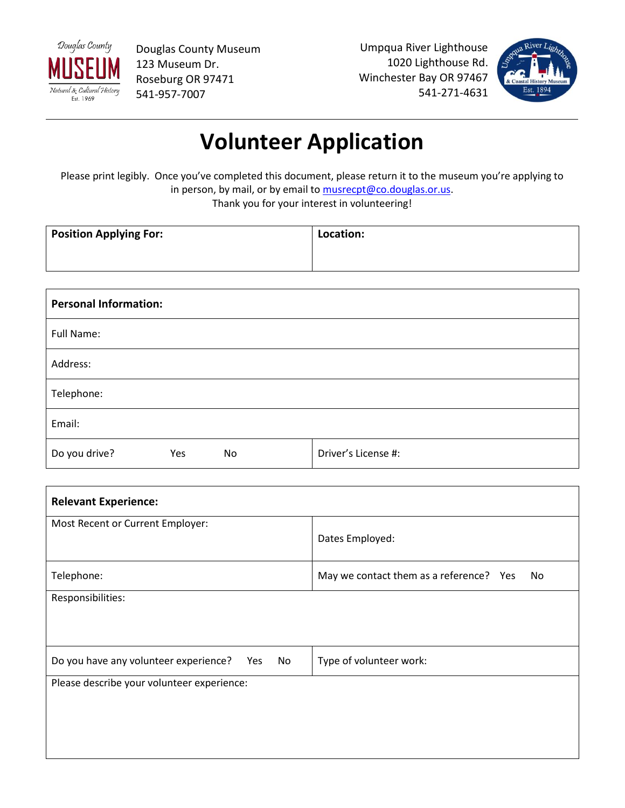

Douglas County Museum 123 Museum Dr. Roseburg OR 97471 541-957-7007

Umpqua River Lighthouse 1020 Lighthouse Rd. Winchester Bay OR 97467 541-271-4631



## **Volunteer Application**

Please print legibly. Once you've completed this document, please return it to the museum you're applying to in person, by mail, or by email to [musrecpt@co.douglas.or.us.](mailto:musrecpt@co.douglas.or.us) Thank you for your interest in volunteering!

| <b>Position Applying For:</b> | Location: |
|-------------------------------|-----------|
|                               |           |

| <b>Personal Information:</b> |                     |  |  |  |
|------------------------------|---------------------|--|--|--|
| Full Name:                   |                     |  |  |  |
| Address:                     |                     |  |  |  |
| Telephone:                   |                     |  |  |  |
| Email:                       |                     |  |  |  |
| Do you drive?<br>No<br>Yes   | Driver's License #: |  |  |  |

| <b>Relevant Experience:</b>                        |                                               |  |  |  |
|----------------------------------------------------|-----------------------------------------------|--|--|--|
| Most Recent or Current Employer:                   |                                               |  |  |  |
|                                                    | Dates Employed:                               |  |  |  |
| Telephone:                                         | May we contact them as a reference? Yes<br>No |  |  |  |
| Responsibilities:                                  |                                               |  |  |  |
|                                                    |                                               |  |  |  |
| Do you have any volunteer experience?<br>Yes<br>No | Type of volunteer work:                       |  |  |  |
| Please describe your volunteer experience:         |                                               |  |  |  |
|                                                    |                                               |  |  |  |
|                                                    |                                               |  |  |  |
|                                                    |                                               |  |  |  |